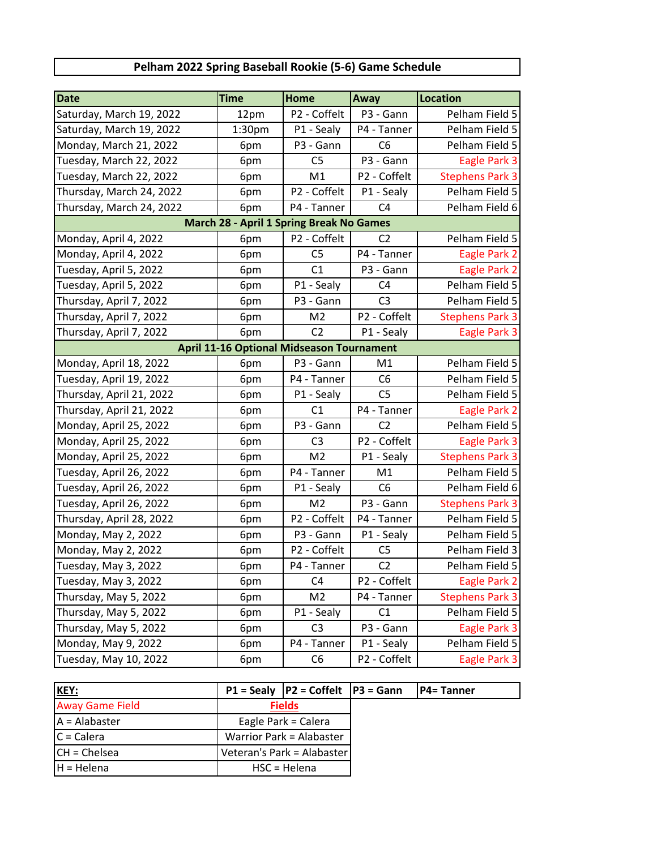## **Pelham 2022 Spring Baseball Rookie (5-6) Game Schedule**

| <b>Date</b>                                      | <b>Time</b>        | Home           | Away           | <b>Location</b>        |  |  |  |  |
|--------------------------------------------------|--------------------|----------------|----------------|------------------------|--|--|--|--|
| Saturday, March 19, 2022                         | 12pm               | P2 - Coffelt   | P3 - Gann      | Pelham Field 5         |  |  |  |  |
| Saturday, March 19, 2022                         | 1:30 <sub>pm</sub> | P1 - Sealy     | P4 - Tanner    | Pelham Field 5         |  |  |  |  |
| Monday, March 21, 2022                           | 6pm                | P3 - Gann      | C <sub>6</sub> | Pelham Field 5         |  |  |  |  |
| Tuesday, March 22, 2022                          | 6pm                | C <sub>5</sub> | P3 - Gann      | Eagle Park 3           |  |  |  |  |
| Tuesday, March 22, 2022                          | 6pm                | M1             | P2 - Coffelt   | <b>Stephens Park 3</b> |  |  |  |  |
| Thursday, March 24, 2022                         | 6pm                | P2 - Coffelt   | P1 - Sealy     | Pelham Field 5         |  |  |  |  |
| Thursday, March 24, 2022                         | 6pm                | P4 - Tanner    | C <sub>4</sub> | Pelham Field 6         |  |  |  |  |
| <b>March 28 - April 1 Spring Break No Games</b>  |                    |                |                |                        |  |  |  |  |
| Monday, April 4, 2022                            | 6pm                | P2 - Coffelt   | C <sub>2</sub> | Pelham Field 5         |  |  |  |  |
| Monday, April 4, 2022                            | 6pm                | C5             | P4 - Tanner    | Eagle Park 2           |  |  |  |  |
| Tuesday, April 5, 2022                           | 6pm                | C1             | P3 - Gann      | Eagle Park 2           |  |  |  |  |
| Tuesday, April 5, 2022                           | 6pm                | P1 - Sealy     | C <sub>4</sub> | Pelham Field 5         |  |  |  |  |
| Thursday, April 7, 2022                          | 6pm                | P3 - Gann      | C <sub>3</sub> | Pelham Field 5         |  |  |  |  |
| Thursday, April 7, 2022                          | 6pm                | M <sub>2</sub> | P2 - Coffelt   | <b>Stephens Park 3</b> |  |  |  |  |
| Thursday, April 7, 2022                          | 6pm                | C <sub>2</sub> | P1 - Sealy     | Eagle Park 3           |  |  |  |  |
| <b>April 11-16 Optional Midseason Tournament</b> |                    |                |                |                        |  |  |  |  |
| Monday, April 18, 2022                           | 6pm                | P3 - Gann      | M1             | Pelham Field 5         |  |  |  |  |
| Tuesday, April 19, 2022                          | 6pm                | P4 - Tanner    | C <sub>6</sub> | Pelham Field 5         |  |  |  |  |
| Thursday, April 21, 2022                         | 6pm                | P1 - Sealy     | C <sub>5</sub> | Pelham Field 5         |  |  |  |  |
| Thursday, April 21, 2022                         | 6pm                | C1             | P4 - Tanner    | Eagle Park 2           |  |  |  |  |
| Monday, April 25, 2022                           | 6pm                | P3 - Gann      | C <sub>2</sub> | Pelham Field 5         |  |  |  |  |
| Monday, April 25, 2022                           | 6pm                | C <sub>3</sub> | P2 - Coffelt   | Eagle Park 3           |  |  |  |  |
| Monday, April 25, 2022                           | 6pm                | M <sub>2</sub> | P1 - Sealy     | <b>Stephens Park 3</b> |  |  |  |  |
| Tuesday, April 26, 2022                          | 6pm                | P4 - Tanner    | M1             | Pelham Field 5         |  |  |  |  |
| Tuesday, April 26, 2022                          | 6pm                | P1 - Sealy     | C <sub>6</sub> | Pelham Field 6         |  |  |  |  |
| Tuesday, April 26, 2022                          | 6pm                | M <sub>2</sub> | P3 - Gann      | <b>Stephens Park 3</b> |  |  |  |  |
| Thursday, April 28, 2022                         | 6pm                | P2 - Coffelt   | P4 - Tanner    | Pelham Field 5         |  |  |  |  |
| Monday, May 2, 2022                              | 6pm                | P3 - Gann      | P1 - Sealy     | Pelham Field 5         |  |  |  |  |
| Monday, May 2, 2022                              | 6pm                | P2 - Coffelt   | C <sub>5</sub> | Pelham Field 3         |  |  |  |  |
| Tuesday, May 3, 2022                             | 6pm                | P4 - Tanner    | C2             | Pelham Field 5         |  |  |  |  |
| Tuesday, May 3, 2022                             | 6pm                | C <sub>4</sub> | P2 - Coffelt   | Eagle Park 2           |  |  |  |  |
| Thursday, May 5, 2022                            | 6pm                | M <sub>2</sub> | P4 - Tanner    | <b>Stephens Park 3</b> |  |  |  |  |
| Thursday, May 5, 2022                            | 6pm                | P1 - Sealy     | C1             | Pelham Field 5         |  |  |  |  |
| Thursday, May 5, 2022                            | 6pm                | C <sub>3</sub> | P3 - Gann      | Eagle Park 3           |  |  |  |  |
| Monday, May 9, 2022                              | 6pm                | P4 - Tanner    | P1 - Sealy     | Pelham Field 5         |  |  |  |  |
| Tuesday, May 10, 2022                            | 6pm                | C <sub>6</sub> | P2 - Coffelt   | Eagle Park 3           |  |  |  |  |

| KEY:                   | $P1 =$ Sealy $ P2 =$ Coffelt $ P3 =$ Gann |  | <b>P4=Tanner</b> |
|------------------------|-------------------------------------------|--|------------------|
| <b>Away Game Field</b> | <b>Fields</b>                             |  |                  |
| $A =$ Alabaster        | Eagle Park = Calera                       |  |                  |
| $IC =$ Calera          | Warrior Park = Alabaster                  |  |                  |
| $CH =$ Chelsea         | Veteran's Park = Alabaster                |  |                  |
| $H = Helena$           | $HSC = Helena$                            |  |                  |